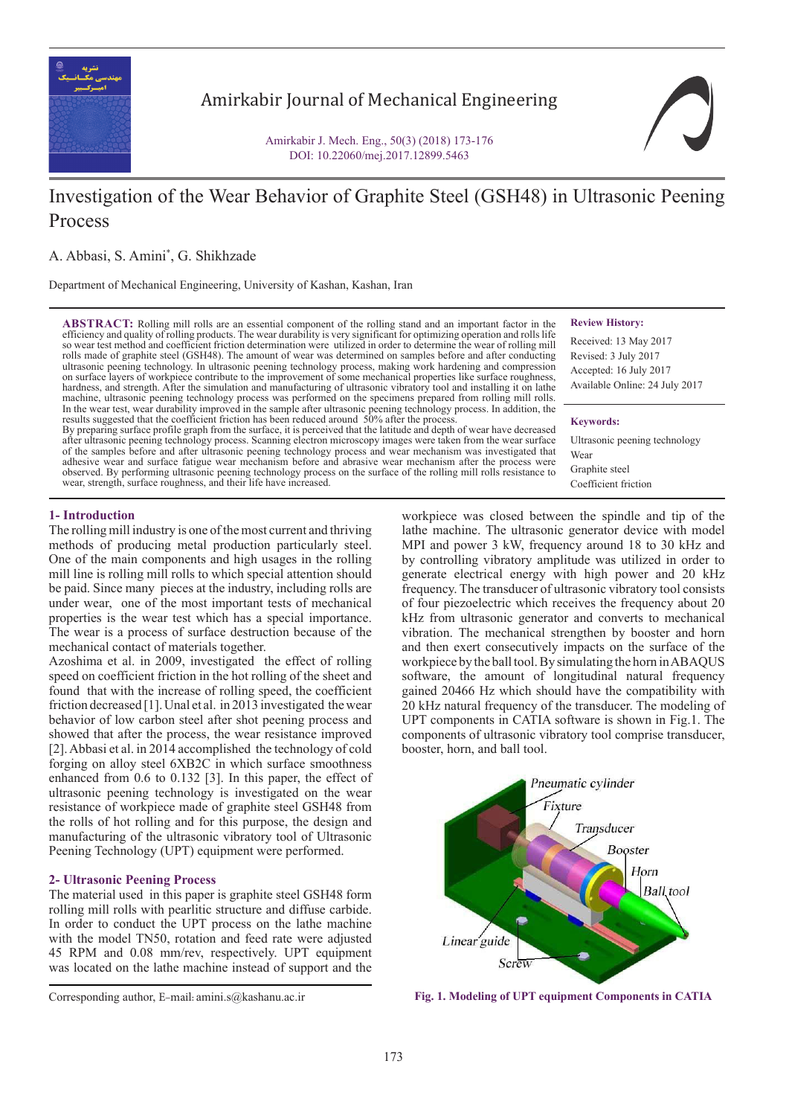

Amirkabir Journal of Mechanical Engineering

Amirkabir J. Mech. Eng., 50(3) (2018) 173-176 DOI: 10.22060/mej.2017.12899.5463

# Investigation of the Wear Behavior of Graphite Steel (GSH48) in Ultrasonic Peening Process

A. Abbasi, S. Amini\* , G. Shikhzade

Department of Mechanical Engineering, University of Kashan, Kashan, Iran

**ABSTRACT:** Rolling mill rolls are an essential component of the rolling stand and an important factor in the efficiency and quality of rolling products. The wear durability is very significant for optimizing operation and rolls life so wear test method and coefficient friction determination were utilized in order to determine the wear of rolling mill rolls made of graphite steel (GSH48). The amount of wear was determined on samples before and after conducting ultrasonic peening technology. In ultrasonic peening technology process, making work hardening and compression on surface layers of workpiece contribute to the improvement of some mechanical properties like surface roughness, hardness, and strength. After the simulation and manufacturing of ultrasonic vibratory tool and installing it on lathe machine, ultrasonic peening technology process was performed on the specimens prepared from rolling mill rolls. In the wear test, wear durability improved in the sample after ultrasonic peening technology process. In addition, the results suggested that the coefficient friction has been reduced around 50% after the process

By preparing surface profile graph from the surface, it is perceived that the latitude and depth of wear have decreased after ultrasonic peening technology process. Scanning electron microscopy images were taken from the wear surface of the samples before and after ultrasonic peening technology process and wear mechanism was investigated that adhesive wear and surface fatigue wear mechanism before and abrasive wear mechanism after the process were observed. By performing ultrasonic peening technology process on the surface of the rolling mill rolls resistance to wear, strength, surface roughness, and their life have increased.

**Review History:**

Received: 13 May 2017 Revised: 3 July 2017 Accepted: 16 July 2017 Available Online: 24 July 2017

#### **Keywords:**

Ultrasonic peening technology Wear Graphite steel Coefficient friction

## **1- Introduction**

The rolling mill industry is one of the most current and thriving methods of producing metal production particularly steel. One of the main components and high usages in the rolling mill line is rolling mill rolls to which special attention should be paid. Since many pieces at the industry, including rolls are under wear, one of the most important tests of mechanical properties is the wear test which has a special importance. The wear is a process of surface destruction because of the mechanical contact of materials together.

Azoshima et al. in 2009, investigated the effect of rolling speed on coefficient friction in the hot rolling of the sheet and found that with the increase of rolling speed, the coefficient friction decreased [1]. Unal et al. in 2013 investigated the wear behavior of low carbon steel after shot peening process and showed that after the process, the wear resistance improved [2]. Abbasi et al. in 2014 accomplished the technology of cold forging on alloy steel 6XB2C in which surface smoothness enhanced from 0.6 to 0.132 [3]. In this paper, the effect of ultrasonic peening technology is investigated on the wear resistance of workpiece made of graphite steel GSH48 from the rolls of hot rolling and for this purpose, the design and manufacturing of the ultrasonic vibratory tool of Ultrasonic Peening Technology (UPT) equipment were performed.

## **2- Ultrasonic Peening Process**

The material used in this paper is graphite steel GSH48 form rolling mill rolls with pearlitic structure and diffuse carbide. In order to conduct the UPT process on the lathe machine with the model TN50, rotation and feed rate were adjusted 45 RPM and 0.08 mm/rev, respectively. UPT equipment was located on the lathe machine instead of support and the

workpiece was closed between the spindle and tip of the lathe machine. The ultrasonic generator device with model MPI and power 3 kW, frequency around 18 to 30 kHz and by controlling vibratory amplitude was utilized in order to generate electrical energy with high power and 20 kHz frequency. The transducer of ultrasonic vibratory tool consists of four piezoelectric which receives the frequency about 20 kHz from ultrasonic generator and converts to mechanical vibration. The mechanical strengthen by booster and horn and then exert consecutively impacts on the surface of the workpiece by the ball tool. By simulating the horn in ABAQUS software, the amount of longitudinal natural frequency gained 20466 Hz which should have the compatibility with 20 kHz natural frequency of the transducer. The modeling of UPT components in CATIA software is shown in Fig.1. The components of ultrasonic vibratory tool comprise transducer, booster, horn, and ball tool.



Corresponding author, E-mail: amini.s@kashanu.ac.ir **Fig. 1. Modeling of UPT equipment Components in CATIA**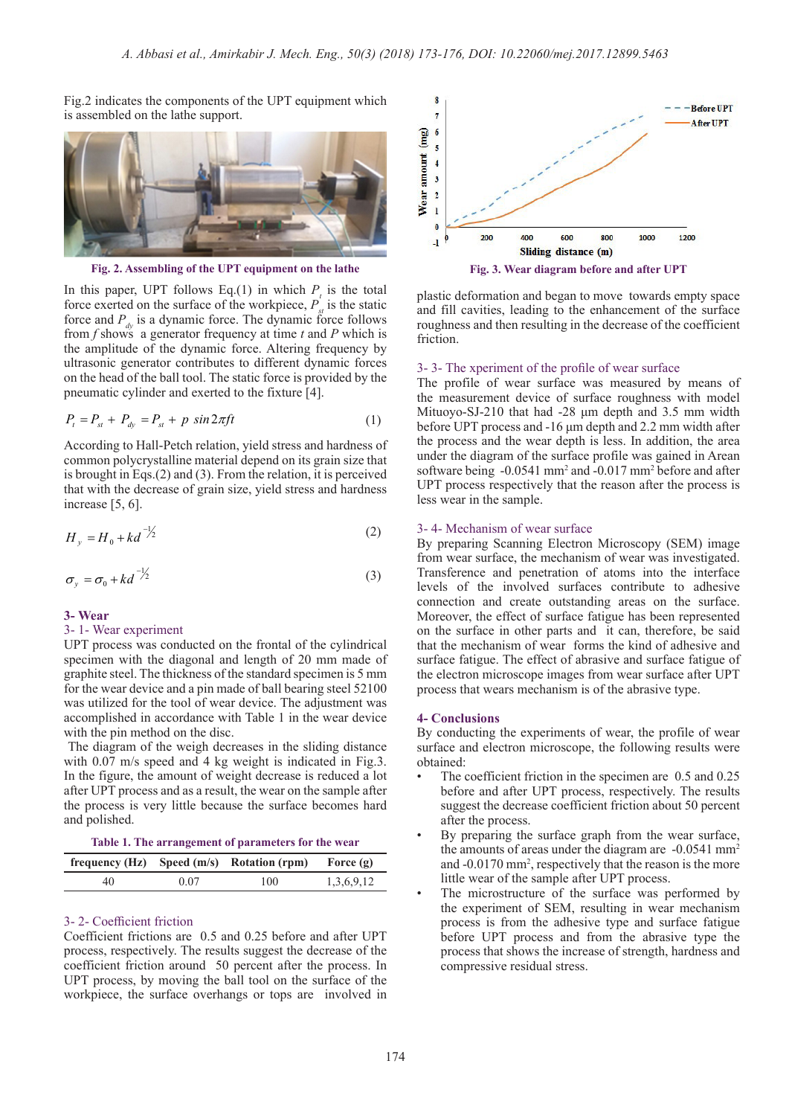Fig.2 indicates the components of the UPT equipment which is assembled on the lathe support.



**Fig. 2. Assembling of the UPT equipment on the lathe**

In this paper, UPT follows Eq.(1) in which  $P_t$  is the total force exerted on the surface of the workpiece,  $P_{st}$  is the static force and  $P_{dv}$  is a dynamic force. The dynamic force follows from *f* shows a generator frequency at time *t* and *P* which is the amplitude of the dynamic force. Altering frequency by ultrasonic generator contributes to different dynamic forces on the head of the ball tool. The static force is provided by the pneumatic cylinder and exerted to the fixture [4].

$$
P_t = P_{st} + P_{dy} = P_{st} + p \sin 2\pi ft \tag{1}
$$

common polycrystalline material depend on its grain size that<br>is harmaly in Fee (2) and (2). From the relation it is noneximal. <sup>2</sup> common poryery stamme material depend on its grain size that<br>is brought in Eqs.(2) and (3). From the relation, it is perceived increase  $[5, 6]$ . <sup>2</sup> <sup>0</sup> *kd* According to Hall-Petch relation, yield stress and hardness of *that with the decrease of grain size, yield stress and hardness* 

$$
H_y = H_0 + kd^{-1/2}
$$
 (2)

$$
\sigma_y = \sigma_0 + kd^{-1/2} \tag{3}
$$

#### **3- Wear**

*y*

### 3- 1- Wear experiment

UPT process was conducted on the frontal of the cylindrical specimen with the diagonal and length of 20 mm made of graphite steel. The thickness of the standard specimen is 5 mm for the wear device and a pin made of ball bearing steel 52100 was utilized for the tool of wear device. The adjustment was accomplished in accordance with Table 1 in the wear device with the pin method on the disc.

 The diagram of the weigh decreases in the sliding distance with 0.07 m/s speed and 4 kg weight is indicated in Fig.3. In the figure, the amount of weight decrease is reduced a lot after UPT process and as a result, the wear on the sample after the process is very little because the surface becomes hard and polished.

**Table 1. The arrangement of parameters for the wear**

|    |      | frequency (Hz) Speed $(m/s)$ Rotation (rpm) Force $(g)$ |            |
|----|------|---------------------------------------------------------|------------|
| 40 | 0.07 | 100                                                     | 1,3,6,9,12 |

#### 3- 2- Coefficient friction

Coefficient frictions are 0.5 and 0.25 before and after UPT process, respectively. The results suggest the decrease of the coefficient friction around 50 percent after the process. In UPT process, by moving the ball tool on the surface of the workpiece, the surface overhangs or tops are involved in



plastic deformation and began to move towards empty space and fill cavities, leading to the enhancement of the surface roughness and then resulting in the decrease of the coefficient friction.

## 3- 3- The xperiment of the profile of wear surface

The profile of wear surface was measured by means of the measurement device of surface roughness with model Mituoyo-SJ-210 that had -28 μm depth and 3.5 mm width before UPT process and -16 μm depth and 2.2 mm width after the process and the wear depth is less. In addition, the area under the diagram of the surface profile was gained in Arean software being -0.0541 mm<sup>2</sup> and -0.017 mm<sup>2</sup> before and after UPT process respectively that the reason after the process is less wear in the sample.

#### 3- 4- Mechanism of wear surface

By preparing Scanning Electron Microscopy (SEM) image from wear surface, the mechanism of wear was investigated. Transference and penetration of atoms into the interface levels of the involved surfaces contribute to adhesive connection and create outstanding areas on the surface. Moreover, the effect of surface fatigue has been represented on the surface in other parts and it can, therefore, be said that the mechanism of wear forms the kind of adhesive and surface fatigue. The effect of abrasive and surface fatigue of the electron microscope images from wear surface after UPT process that wears mechanism is of the abrasive type.

#### **4- Conclusions**

By conducting the experiments of wear, the profile of wear surface and electron microscope, the following results were obtained:

- The coefficient friction in the specimen are 0.5 and 0.25 before and after UPT process, respectively. The results suggest the decrease coefficient friction about 50 percent after the process.
- By preparing the surface graph from the wear surface, the amounts of areas under the diagram are -0.0541 mm<sup>2</sup> and -0.0170 mm<sup>2</sup>, respectively that the reason is the more little wear of the sample after UPT process.
- The microstructure of the surface was performed by the experiment of SEM, resulting in wear mechanism process is from the adhesive type and surface fatigue before UPT process and from the abrasive type the process that shows the increase of strength, hardness and compressive residual stress.